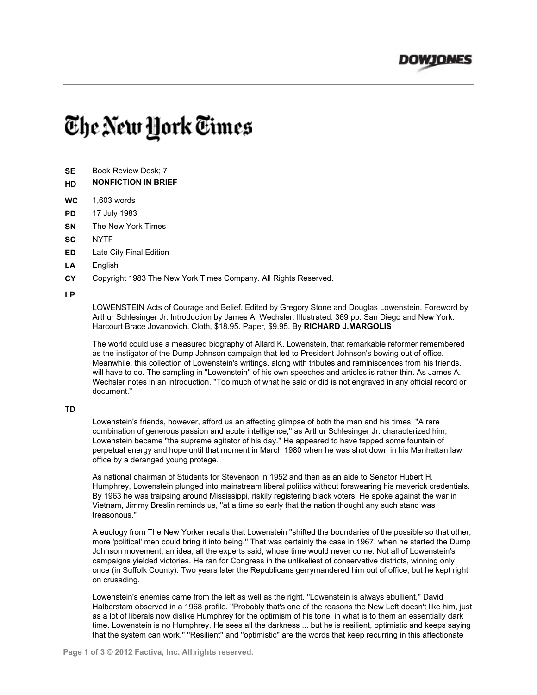

## The New York Times

- **SE** Book Review Desk; 7
- **HD NONFICTION IN BRIEF**
- **WC** 1,603 words
- **PD** 17 July 1983
- **SN** The New York Times
- **SC** NYTF
- **ED** Late City Final Edition
- **LA** English
- **CY** Copyright 1983 The New York Times Company. All Rights Reserved.

## **LP**

LOWENSTEIN Acts of Courage and Belief. Edited by Gregory Stone and Douglas Lowenstein. Foreword by Arthur Schlesinger Jr. Introduction by James A. Wechsler. Illustrated. 369 pp. San Diego and New York: Harcourt Brace Jovanovich. Cloth, \$18.95. Paper, \$9.95. By **RICHARD J.MARGOLIS**

The world could use a measured biography of Allard K. Lowenstein, that remarkable reformer remembered as the instigator of the Dump Johnson campaign that led to President Johnson's bowing out of office. Meanwhile, this collection of Lowenstein's writings, along with tributes and reminiscences from his friends, will have to do. The sampling in ''Lowenstein'' of his own speeches and articles is rather thin. As James A. Wechsler notes in an introduction, ''Too much of what he said or did is not engraved in any official record or document.''

## **TD**

Lowenstein's friends, however, afford us an affecting glimpse of both the man and his times. ''A rare combination of generous passion and acute intelligence,'' as Arthur Schlesinger Jr. characterized him, Lowenstein became ''the supreme agitator of his day.'' He appeared to have tapped some fountain of perpetual energy and hope until that moment in March 1980 when he was shot down in his Manhattan law office by a deranged young protege.

As national chairman of Students for Stevenson in 1952 and then as an aide to Senator Hubert H. Humphrey, Lowenstein plunged into mainstream liberal politics without forswearing his maverick credentials. By 1963 he was traipsing around Mississippi, riskily registering black voters. He spoke against the war in Vietnam, Jimmy Breslin reminds us, ''at a time so early that the nation thought any such stand was treasonous.''

A euology from The New Yorker recalls that Lowenstein ''shifted the boundaries of the possible so that other, more 'political' men could bring it into being.'' That was certainly the case in 1967, when he started the Dump Johnson movement, an idea, all the experts said, whose time would never come. Not all of Lowenstein's campaigns yielded victories. He ran for Congress in the unlikeliest of conservative districts, winning only once (in Suffolk County). Two years later the Republicans gerrymandered him out of office, but he kept right on crusading.

Lowenstein's enemies came from the left as well as the right. ''Lowenstein is always ebullient,'' David Halberstam observed in a 1968 profile. ''Probably that's one of the reasons the New Left doesn't like him, just as a lot of liberals now dislike Humphrey for the optimism of his tone, in what is to them an essentially dark time. Lowenstein is no Humphrey. He sees all the darkness ... but he is resilient, optimistic and keeps saying that the system can work.'' ''Resilient'' and ''optimistic'' are the words that keep recurring in this affectionate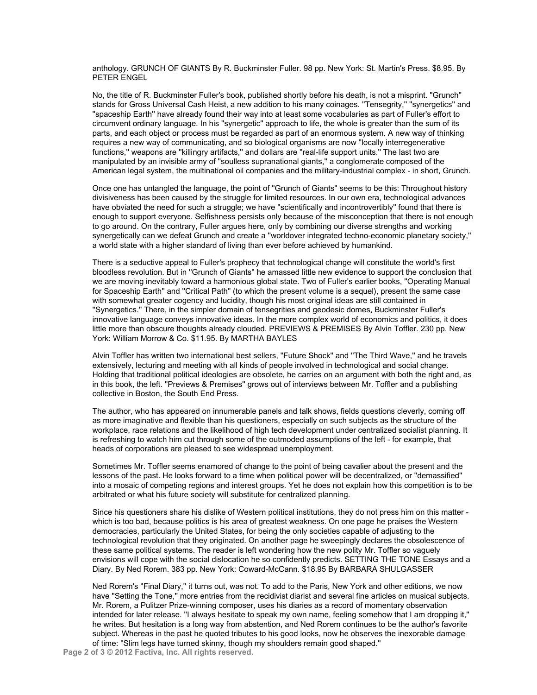anthology. GRUNCH OF GIANTS By R. Buckminster Fuller. 98 pp. New York: St. Martin's Press. \$8.95. By PETER ENGEL

No, the title of R. Buckminster Fuller's book, published shortly before his death, is not a misprint. ''Grunch'' stands for Gross Universal Cash Heist, a new addition to his many coinages. ''Tensegrity,'' ''synergetics'' and ''spaceship Earth'' have already found their way into at least some vocabularies as part of Fuller's effort to circumvent ordinary language. In his ''synergetic'' approach to life, the whole is greater than the sum of its parts, and each object or process must be regarded as part of an enormous system. A new way of thinking requires a new way of communicating, and so biological organisms are now ''locally interregenerative functions,'' weapons are ''killingry artifacts,'' and dollars are ''real-life support units.'' The last two are manipulated by an invisible army of ''soulless supranational giants,'' a conglomerate composed of the American legal system, the multinational oil companies and the military-industrial complex - in short, Grunch.

Once one has untangled the language, the point of ''Grunch of Giants'' seems to be this: Throughout history divisiveness has been caused by the struggle for limited resources. In our own era, technological advances have obviated the need for such a struggle; we have "scientifically and incontrovertibly" found that there is enough to support everyone. Selfishness persists only because of the misconception that there is not enough to go around. On the contrary, Fuller argues here, only by combining our diverse strengths and working synergetically can we defeat Grunch and create a ''worldover integrated techno-economic planetary society,'' a world state with a higher standard of living than ever before achieved by humankind.

There is a seductive appeal to Fuller's prophecy that technological change will constitute the world's first bloodless revolution. But in ''Grunch of Giants'' he amassed little new evidence to support the conclusion that we are moving inevitably toward a harmonious global state. Two of Fuller's earlier books, ''Operating Manual for Spaceship Earth'' and ''Critical Path'' (to which the present volume is a sequel), present the same case with somewhat greater cogency and lucidity, though his most original ideas are still contained in ''Synergetics.'' There, in the simpler domain of tensegrities and geodesic domes, Buckminster Fuller's innovative language conveys innovative ideas. In the more complex world of economics and politics, it does little more than obscure thoughts already clouded. PREVIEWS & PREMISES By Alvin Toffler. 230 pp. New York: William Morrow & Co. \$11.95. By MARTHA BAYLES

Alvin Toffler has written two international best sellers, "Future Shock" and "The Third Wave," and he travels extensively, lecturing and meeting with all kinds of people involved in technological and social change. Holding that traditional political ideologies are obsolete, he carries on an argument with both the right and, as in this book, the left. ''Previews & Premises'' grows out of interviews between Mr. Toffler and a publishing collective in Boston, the South End Press.

The author, who has appeared on innumerable panels and talk shows, fields questions cleverly, coming off as more imaginative and flexible than his questioners, especially on such subjects as the structure of the workplace, race relations and the likelihood of high tech development under centralized socialist planning. It is refreshing to watch him cut through some of the outmoded assumptions of the left - for example, that heads of corporations are pleased to see widespread unemployment.

Sometimes Mr. Toffler seems enamored of change to the point of being cavalier about the present and the lessons of the past. He looks forward to a time when political power will be decentralized, or ''demassified'' into a mosaic of competing regions and interest groups. Yet he does not explain how this competition is to be arbitrated or what his future society will substitute for centralized planning.

Since his questioners share his dislike of Western political institutions, they do not press him on this matter which is too bad, because politics is his area of greatest weakness. On one page he praises the Western democracies, particularly the United States, for being the only societies capable of adjusting to the technological revolution that they originated. On another page he sweepingly declares the obsolescence of these same political systems. The reader is left wondering how the new polity Mr. Toffler so vaguely envisions will cope with the social dislocation he so confidently predicts. SETTING THE TONE Essays and a Diary. By Ned Rorem. 383 pp. New York: Coward-McCann. \$18.95 By BARBARA SHULGASSER

Ned Rorem's ''Final Diary,'' it turns out, was not. To add to the Paris, New York and other editions, we now have "Setting the Tone," more entries from the recidivist diarist and several fine articles on musical subjects. Mr. Rorem, a Pulitzer Prize-winning composer, uses his diaries as a record of momentary observation intended for later release. ''I always hesitate to speak my own name, feeling somehow that I am dropping it,'' he writes. But hesitation is a long way from abstention, and Ned Rorem continues to be the author's favorite subject. Whereas in the past he quoted tributes to his good looks, now he observes the inexorable damage of time: ''Slim legs have turned skinny, though my shoulders remain good shaped.''